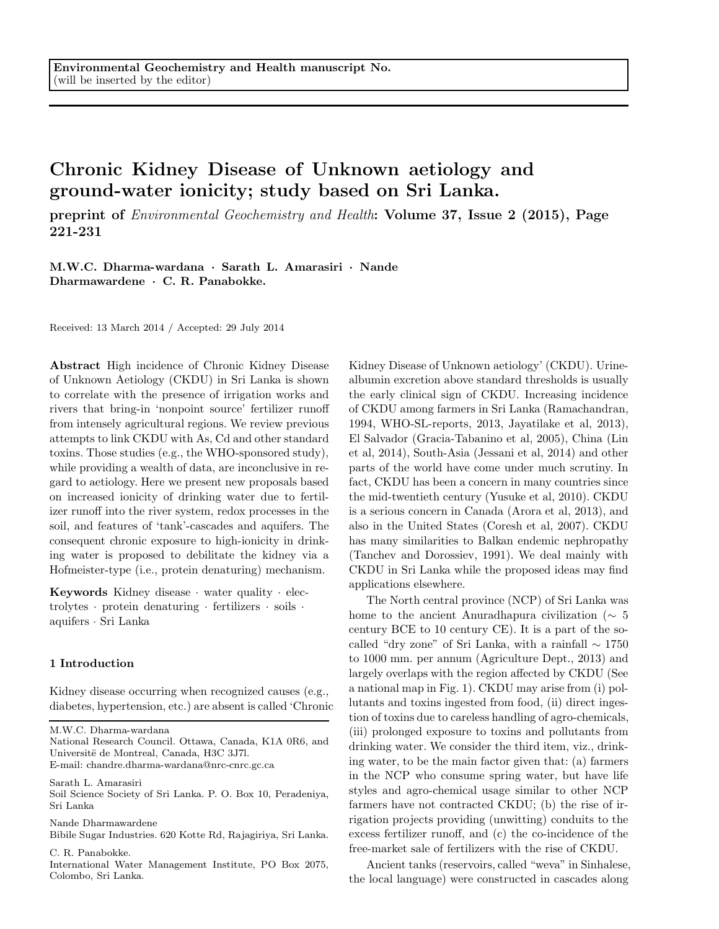# Chronic Kidney Disease of Unknown aetiology and ground-water ionicity; study based on Sri Lanka.

preprint of Environmental Geochemistry and Health: Volume 37, Issue 2 (2015), Page 221-231

M.W.C. Dharma-wardana · Sarath L. Amarasiri · Nande Dharmawardene · C. R. Panabokke.

Received: 13 March 2014 / Accepted: 29 July 2014

Abstract High incidence of Chronic Kidney Disease of Unknown Aetiology (CKDU) in Sri Lanka is shown to correlate with the presence of irrigation works and rivers that bring-in 'nonpoint source' fertilizer runoff from intensely agricultural regions. We review previous attempts to link CKDU with As, Cd and other standard toxins. Those studies (e.g., the WHO-sponsored study), while providing a wealth of data, are inconclusive in regard to aetiology. Here we present new proposals based on increased ionicity of drinking water due to fertilizer runoff into the river system, redox processes in the soil, and features of 'tank'-cascades and aquifers. The consequent chronic exposure to high-ionicity in drinking water is proposed to debilitate the kidney via a Hofmeister-type (i.e., protein denaturing) mechanism.

Keywords Kidney disease · water quality · electrolytes · protein denaturing · fertilizers · soils · aquifers · Sri Lanka

## 1 Introduction

Kidney disease occurring when recognized causes (e.g., diabetes, hypertension, etc.) are absent is called 'Chronic

M.W.C. Dharma-wardana

National Research Council. Ottawa, Canada, K1A 0R6, and Universitë de Montreal, Canada, H3C 3J7l. E-mail: chandre.dharma-wardana@nrc-cnrc.gc.ca

Sarath L. Amarasiri

Soil Science Society of Sri Lanka. P. O. Box 10, Peradeniya, Sri Lanka

Nande Dharmawardene

Bibile Sugar Industries. 620 Kotte Rd, Rajagiriya, Sri Lanka.

C. R. Panabokke.

International Water Management Institute, PO Box 2075, Colombo, Sri Lanka.

Kidney Disease of Unknown aetiology' (CKDU). Urinealbumin excretion above standard thresholds is usually the early clinical sign of CKDU. Increasing incidence of CKDU among farmers in Sri Lanka (Ramachandran, 1994, WHO-SL-reports, 2013, Jayatilake et al, 2013), El Salvador (Gracia-Tabanino et al, 2005), China (Lin et al, 2014), South-Asia (Jessani et al, 2014) and other parts of the world have come under much scrutiny. In fact, CKDU has been a concern in many countries since the mid-twentieth century (Yusuke et al, 2010). CKDU is a serious concern in Canada (Arora et al, 2013), and also in the United States (Coresh et al, 2007). CKDU has many similarities to Balkan endemic nephropathy (Tanchev and Dorossiev, 1991). We deal mainly with CKDU in Sri Lanka while the proposed ideas may find applications elsewhere.

The North central province (NCP) of Sri Lanka was home to the ancient Anuradhapura civilization (∼ 5 century BCE to 10 century CE). It is a part of the socalled "dry zone" of Sri Lanka, with a rainfall ∼ 1750 to 1000 mm. per annum (Agriculture Dept., 2013) and largely overlaps with the region affected by CKDU (See a national map in Fig. 1). CKDU may arise from (i) pollutants and toxins ingested from food, (ii) direct ingestion of toxins due to careless handling of agro-chemicals, (iii) prolonged exposure to toxins and pollutants from drinking water. We consider the third item, viz., drinking water, to be the main factor given that: (a) farmers in the NCP who consume spring water, but have life styles and agro-chemical usage similar to other NCP farmers have not contracted CKDU; (b) the rise of irrigation projects providing (unwitting) conduits to the excess fertilizer runoff, and (c) the co-incidence of the free-market sale of fertilizers with the rise of CKDU.

Ancient tanks (reservoirs, called "weva" in Sinhalese, the local language) were constructed in cascades along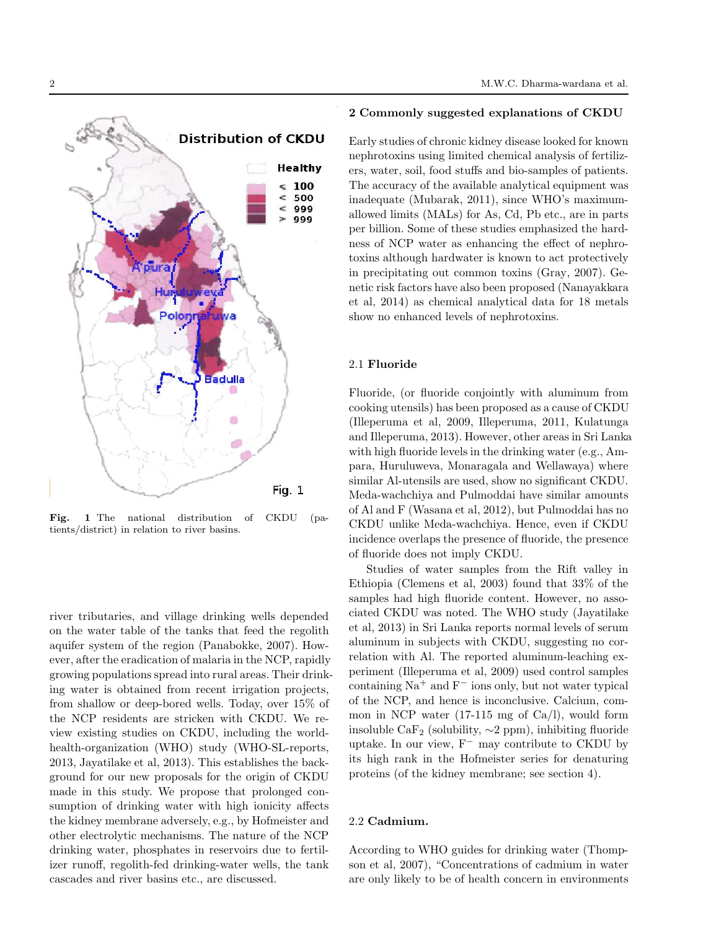

Fig. 1 The national distribution of CKDU (patients/district) in relation to river basins.

river tributaries, and village drinking wells depended on the water table of the tanks that feed the regolith aquifer system of the region (Panabokke, 2007). However, after the eradication of malaria in the NCP, rapidly growing populations spread into rural areas. Their drinking water is obtained from recent irrigation projects, from shallow or deep-bored wells. Today, over 15% of the NCP residents are stricken with CKDU. We review existing studies on CKDU, including the worldhealth-organization (WHO) study (WHO-SL-reports, 2013, Jayatilake et al, 2013). This establishes the background for our new proposals for the origin of CKDU made in this study. We propose that prolonged consumption of drinking water with high ionicity affects the kidney membrane adversely, e.g., by Hofmeister and other electrolytic mechanisms. The nature of the NCP drinking water, phosphates in reservoirs due to fertilizer runoff, regolith-fed drinking-water wells, the tank cascades and river basins etc., are discussed.

#### 2 Commonly suggested explanations of CKDU

Early studies of chronic kidney disease looked for known nephrotoxins using limited chemical analysis of fertilizers, water, soil, food stuffs and bio-samples of patients. The accuracy of the available analytical equipment was inadequate (Mubarak, 2011), since WHO's maximumallowed limits (MALs) for As, Cd, Pb etc., are in parts per billion. Some of these studies emphasized the hardness of NCP water as enhancing the effect of nephrotoxins although hardwater is known to act protectively in precipitating out common toxins (Gray, 2007). Genetic risk factors have also been proposed (Nanayakkara et al, 2014) as chemical analytical data for 18 metals show no enhanced levels of nephrotoxins.

## 2.1 Fluoride

Fluoride, (or fluoride conjointly with aluminum from cooking utensils) has been proposed as a cause of CKDU (Illeperuma et al, 2009, Illeperuma, 2011, Kulatunga and Illeperuma, 2013). However, other areas in Sri Lanka with high fluoride levels in the drinking water (e.g., Ampara, Huruluweva, Monaragala and Wellawaya) where similar Al-utensils are used, show no significant CKDU. Meda-wachchiya and Pulmoddai have similar amounts of Al and F (Wasana et al, 2012), but Pulmoddai has no CKDU unlike Meda-wachchiya. Hence, even if CKDU incidence overlaps the presence of fluoride, the presence of fluoride does not imply CKDU.

Studies of water samples from the Rift valley in Ethiopia (Clemens et al, 2003) found that 33% of the samples had high fluoride content. However, no associated CKDU was noted. The WHO study (Jayatilake et al, 2013) in Sri Lanka reports normal levels of serum aluminum in subjects with CKDU, suggesting no correlation with Al. The reported aluminum-leaching experiment (Illeperuma et al, 2009) used control samples containing  $\mathrm{Na}^+$  and  $\mathrm{F}^-$  ions only, but not water typical of the NCP, and hence is inconclusive. Calcium, common in NCP water  $(17-115 \text{ mg of } Ca/l)$ , would form insoluble CaF<sub>2</sub> (solubility,  $\sim$ 2 ppm), inhibiting fluoride uptake. In our view, F<sup>−</sup> may contribute to CKDU by its high rank in the Hofmeister series for denaturing proteins (of the kidney membrane; see section 4).

# 2.2 Cadmium.

According to WHO guides for drinking water (Thompson et al, 2007), "Concentrations of cadmium in water are only likely to be of health concern in environments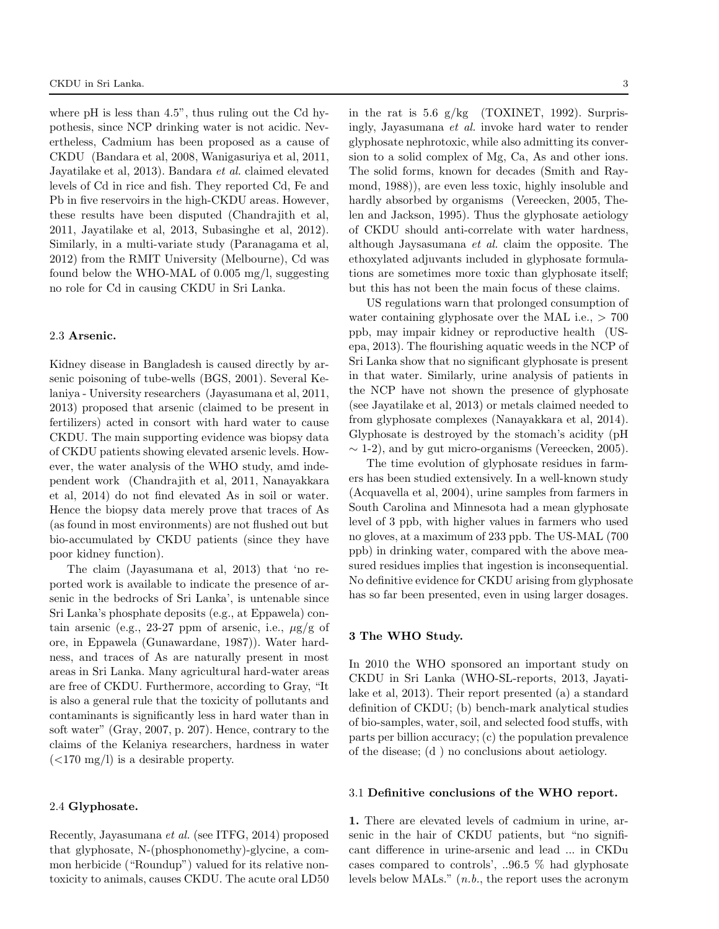where pH is less than 4.5", thus ruling out the Cd hypothesis, since NCP drinking water is not acidic. Nevertheless, Cadmium has been proposed as a cause of CKDU (Bandara et al, 2008, Wanigasuriya et al, 2011, Jayatilake et al, 2013). Bandara et al. claimed elevated levels of Cd in rice and fish. They reported Cd, Fe and Pb in five reservoirs in the high-CKDU areas. However, these results have been disputed (Chandrajith et al, 2011, Jayatilake et al, 2013, Subasinghe et al, 2012). Similarly, in a multi-variate study (Paranagama et al, 2012) from the RMIT University (Melbourne), Cd was found below the WHO-MAL of 0.005 mg/l, suggesting no role for Cd in causing CKDU in Sri Lanka.

# 2.3 Arsenic.

Kidney disease in Bangladesh is caused directly by arsenic poisoning of tube-wells (BGS, 2001). Several Kelaniya - University researchers (Jayasumana et al, 2011, 2013) proposed that arsenic (claimed to be present in fertilizers) acted in consort with hard water to cause CKDU. The main supporting evidence was biopsy data of CKDU patients showing elevated arsenic levels. However, the water analysis of the WHO study, amd independent work (Chandrajith et al, 2011, Nanayakkara et al, 2014) do not find elevated As in soil or water. Hence the biopsy data merely prove that traces of As (as found in most environments) are not flushed out but bio-accumulated by CKDU patients (since they have poor kidney function).

The claim (Jayasumana et al, 2013) that 'no reported work is available to indicate the presence of arsenic in the bedrocks of Sri Lanka', is untenable since Sri Lanka's phosphate deposits (e.g., at Eppawela) contain arsenic (e.g., 23-27 ppm of arsenic, i.e.,  $\mu$ g/g of ore, in Eppawela (Gunawardane, 1987)). Water hardness, and traces of As are naturally present in most areas in Sri Lanka. Many agricultural hard-water areas are free of CKDU. Furthermore, according to Gray, "It is also a general rule that the toxicity of pollutants and contaminants is significantly less in hard water than in soft water" (Gray, 2007, p. 207). Hence, contrary to the claims of the Kelaniya researchers, hardness in water  $\left($  <170 mg/l) is a desirable property.

## 2.4 Glyphosate.

Recently, Jayasumana et al. (see ITFG, 2014) proposed that glyphosate, N-(phosphonomethy)-glycine, a common herbicide ("Roundup") valued for its relative nontoxicity to animals, causes CKDU. The acute oral LD50 in the rat is  $5.6 \text{ g/kg}$  (TOXINET, 1992). Surprisingly, Jayasumana et al. invoke hard water to render glyphosate nephrotoxic, while also admitting its conversion to a solid complex of Mg, Ca, As and other ions. The solid forms, known for decades (Smith and Raymond, 1988)), are even less toxic, highly insoluble and hardly absorbed by organisms (Vereecken, 2005, Thelen and Jackson, 1995). Thus the glyphosate aetiology of CKDU should anti-correlate with water hardness, although Jaysasumana et al. claim the opposite. The ethoxylated adjuvants included in glyphosate formulations are sometimes more toxic than glyphosate itself;

US regulations warn that prolonged consumption of water containing glyphosate over the MAL i.e., > 700 ppb, may impair kidney or reproductive health (USepa, 2013). The flourishing aquatic weeds in the NCP of Sri Lanka show that no significant glyphosate is present in that water. Similarly, urine analysis of patients in the NCP have not shown the presence of glyphosate (see Jayatilake et al, 2013) or metals claimed needed to from glyphosate complexes (Nanayakkara et al, 2014). Glyphosate is destroyed by the stomach's acidity (pH  $\sim$  1-2), and by gut micro-organisms (Vereecken, 2005).

but this has not been the main focus of these claims.

The time evolution of glyphosate residues in farmers has been studied extensively. In a well-known study (Acquavella et al, 2004), urine samples from farmers in South Carolina and Minnesota had a mean glyphosate level of 3 ppb, with higher values in farmers who used no gloves, at a maximum of 233 ppb. The US-MAL (700 ppb) in drinking water, compared with the above measured residues implies that ingestion is inconsequential. No definitive evidence for CKDU arising from glyphosate has so far been presented, even in using larger dosages.

#### 3 The WHO Study.

In 2010 the WHO sponsored an important study on CKDU in Sri Lanka (WHO-SL-reports, 2013, Jayatilake et al, 2013). Their report presented (a) a standard definition of CKDU; (b) bench-mark analytical studies of bio-samples, water, soil, and selected food stuffs, with parts per billion accuracy; (c) the population prevalence of the disease; (d ) no conclusions about aetiology.

## 3.1 Definitive conclusions of the WHO report.

1. There are elevated levels of cadmium in urine, arsenic in the hair of CKDU patients, but "no significant difference in urine-arsenic and lead ... in CKDu cases compared to controls', ..96.5 % had glyphosate levels below MALs."  $(n.b.,$  the report uses the acronym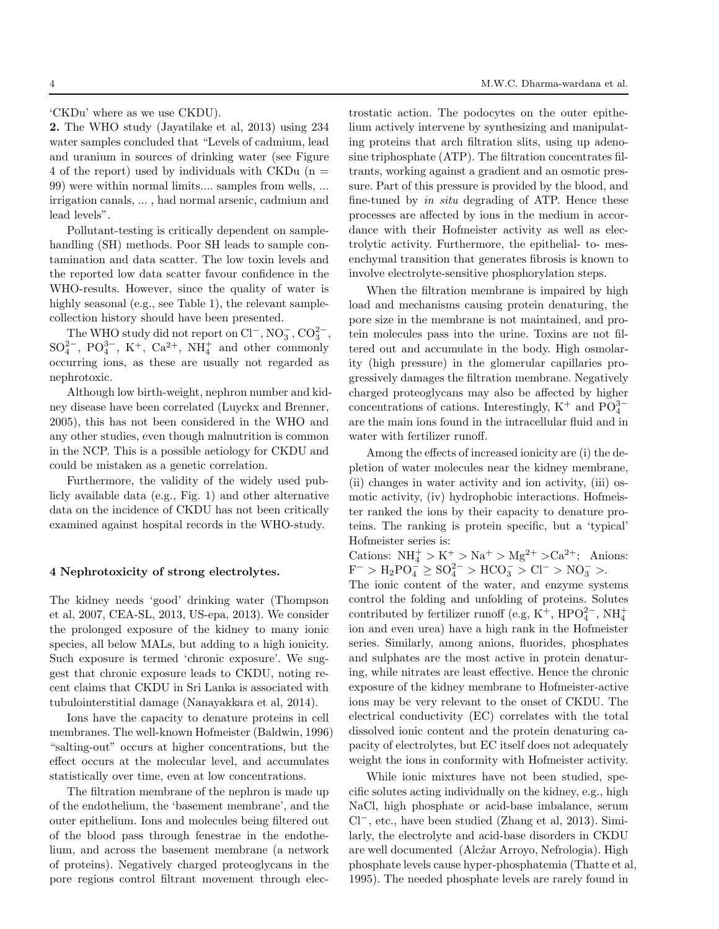'CKDu' where as we use CKDU).

2. The WHO study (Jayatilake et al, 2013) using 234 water samples concluded that "Levels of cadmium, lead and uranium in sources of drinking water (see Figure 4 of the report) used by individuals with CKDu  $(n =$ 99) were within normal limits.... samples from wells, ... irrigation canals, ... , had normal arsenic, cadmium and lead levels".

Pollutant-testing is critically dependent on samplehandling (SH) methods. Poor SH leads to sample contamination and data scatter. The low toxin levels and the reported low data scatter favour confidence in the WHO-results. However, since the quality of water is highly seasonal (e.g., see Table 1), the relevant samplecollection history should have been presented.

The WHO study did not report on  $Cl^-$ ,  $NO_3^-$ ,  $CO_3^{2-}$ ,  $SO_4^{2-}$ ,  $PO_4^{3-}$ ,  $K^+$ ,  $Ca^{2+}$ ,  $NH_4^+$  and other commonly occurring ions, as these are usually not regarded as nephrotoxic.

Although low birth-weight, nephron number and kidney disease have been correlated (Luyckx and Brenner, 2005), this has not been considered in the WHO and any other studies, even though malnutrition is common in the NCP. This is a possible aetiology for CKDU and could be mistaken as a genetic correlation.

Furthermore, the validity of the widely used publicly available data (e.g., Fig. 1) and other alternative data on the incidence of CKDU has not been critically examined against hospital records in the WHO-study.

#### 4 Nephrotoxicity of strong electrolytes.

The kidney needs 'good' drinking water (Thompson et al, 2007, CEA-SL, 2013, US-epa, 2013). We consider the prolonged exposure of the kidney to many ionic species, all below MALs, but adding to a high ionicity. Such exposure is termed 'chronic exposure'. We suggest that chronic exposure leads to CKDU, noting recent claims that CKDU in Sri Lanka is associated with tubulointerstitial damage (Nanayakkara et al, 2014).

Ions have the capacity to denature proteins in cell membranes. The well-known Hofmeister (Baldwin, 1996) "salting-out" occurs at higher concentrations, but the effect occurs at the molecular level, and accumulates statistically over time, even at low concentrations.

The filtration membrane of the nephron is made up of the endothelium, the 'basement membrane', and the outer epithelium. Ions and molecules being filtered out of the blood pass through fenestrae in the endothelium, and across the basement membrane (a network of proteins). Negatively charged proteoglycans in the pore regions control filtrant movement through elec-

trostatic action. The podocytes on the outer epithelium actively intervene by synthesizing and manipulating proteins that arch filtration slits, using up adenosine triphosphate (ATP). The filtration concentrates filtrants, working against a gradient and an osmotic pressure. Part of this pressure is provided by the blood, and fine-tuned by in situ degrading of ATP. Hence these processes are affected by ions in the medium in accordance with their Hofmeister activity as well as electrolytic activity. Furthermore, the epithelial- to- mesenchymal transition that generates fibrosis is known to involve electrolyte-sensitive phosphorylation steps.

When the filtration membrane is impaired by high load and mechanisms causing protein denaturing, the pore size in the membrane is not maintained, and protein molecules pass into the urine. Toxins are not filtered out and accumulate in the body. High osmolarity (high pressure) in the glomerular capillaries progressively damages the filtration membrane. Negatively charged proteoglycans may also be affected by higher concentrations of cations. Interestingly, K<sup>+</sup> and  $PO_4^{3-}$ are the main ions found in the intracellular fluid and in water with fertilizer runoff.

Among the effects of increased ionicity are (i) the depletion of water molecules near the kidney membrane, (ii) changes in water activity and ion activity, (iii) osmotic activity, (iv) hydrophobic interactions. Hofmeister ranked the ions by their capacity to denature proteins. The ranking is protein specific, but a 'typical' Hofmeister series is:

Cations:  $NH_4^+ > K^+ > Na^+ > Mg^{2+} > Ca^{2+};$  Anions:  $F^- > H_2PO_4^2 \geq SO_4^{2-} > HCO_3^- > Cl^- > NO_3^- >.$ 

The ionic content of the water, and enzyme systems control the folding and unfolding of proteins. Solutes contributed by fertilizer runoff (e.g, K<sup>+</sup>, HPO<sup>2-</sup>, NH<sup>+</sup><sub>4</sub> ion and even urea) have a high rank in the Hofmeister series. Similarly, among anions, fluorides, phosphates and sulphates are the most active in protein denaturing, while nitrates are least effective. Hence the chronic exposure of the kidney membrane to Hofmeister-active ions may be very relevant to the onset of CKDU. The electrical conductivity (EC) correlates with the total dissolved ionic content and the protein denaturing capacity of electrolytes, but EC itself does not adequately weight the ions in conformity with Hofmeister activity.

While ionic mixtures have not been studied, specific solutes acting individually on the kidney, e.g., high NaCl, high phosphate or acid-base imbalance, serum Cl<sup>−</sup>, etc., have been studied (Zhang et al, 2013). Similarly, the electrolyte and acid-base disorders in CKDU are well documented (Alczar Arroyo, Nefrologia). High phosphate levels cause hyper-phosphatemia (Thatte et al, 1995). The needed phosphate levels are rarely found in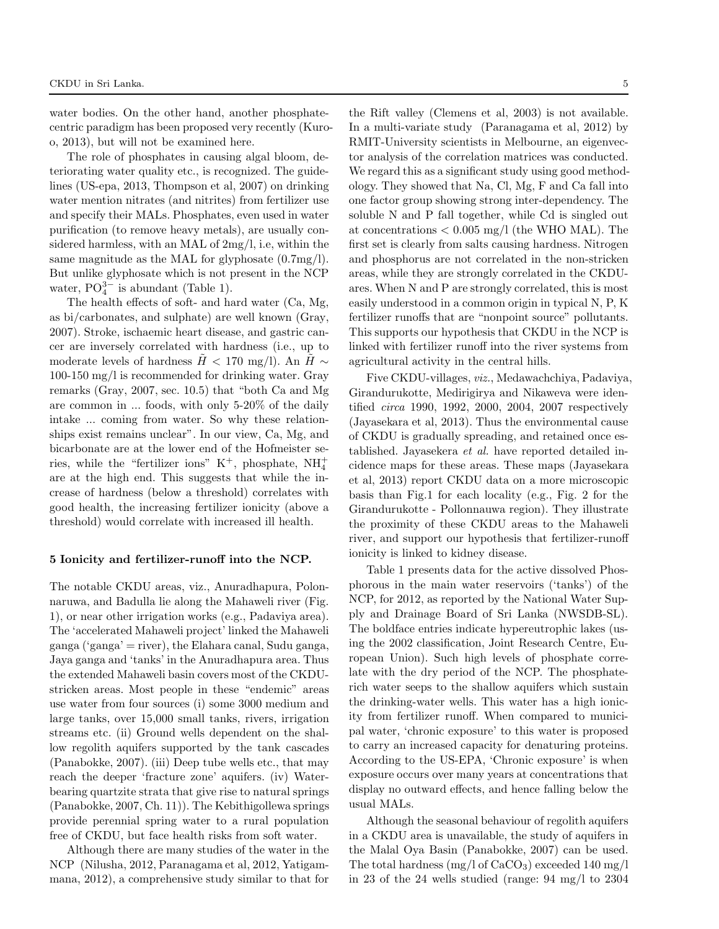water bodies. On the other hand, another phosphatecentric paradigm has been proposed very recently (Kuroo, 2013), but will not be examined here.

The role of phosphates in causing algal bloom, deteriorating water quality etc., is recognized. The guidelines (US-epa, 2013, Thompson et al, 2007) on drinking water mention nitrates (and nitrites) from fertilizer use and specify their MALs. Phosphates, even used in water purification (to remove heavy metals), are usually considered harmless, with an MAL of 2mg/l, i.e, within the same magnitude as the MAL for glyphosate (0.7mg/l). But unlike glyphosate which is not present in the NCP water,  $PO_4^{3-i}$  is abundant (Table 1).

The health effects of soft- and hard water (Ca, Mg, as bi/carbonates, and sulphate) are well known (Gray, 2007). Stroke, ischaemic heart disease, and gastric cancer are inversely correlated with hardness (i.e., up to moderate levels of hardness  $H < 170$  mg/l). An  $H \sim$ 100-150 mg/l is recommended for drinking water. Gray remarks (Gray, 2007, sec. 10.5) that "both Ca and Mg are common in ... foods, with only 5-20% of the daily intake ... coming from water. So why these relationships exist remains unclear". In our view, Ca, Mg, and bicarbonate are at the lower end of the Hofmeister series, while the "fertilizer ions"  $K^+$ , phosphate,  $NH_4^+$ are at the high end. This suggests that while the increase of hardness (below a threshold) correlates with good health, the increasing fertilizer ionicity (above a threshold) would correlate with increased ill health.

## 5 Ionicity and fertilizer-runoff into the NCP.

The notable CKDU areas, viz., Anuradhapura, Polonnaruwa, and Badulla lie along the Mahaweli river (Fig. 1), or near other irrigation works (e.g., Padaviya area). The 'accelerated Mahaweli project' linked the Mahaweli ganga ('ganga' = river), the Elahara canal, Sudu ganga, Jaya ganga and 'tanks' in the Anuradhapura area. Thus the extended Mahaweli basin covers most of the CKDUstricken areas. Most people in these "endemic" areas use water from four sources (i) some 3000 medium and large tanks, over 15,000 small tanks, rivers, irrigation streams etc. (ii) Ground wells dependent on the shallow regolith aquifers supported by the tank cascades (Panabokke, 2007). (iii) Deep tube wells etc., that may reach the deeper 'fracture zone' aquifers. (iv) Waterbearing quartzite strata that give rise to natural springs (Panabokke, 2007, Ch. 11)). The Kebithigollewa springs provide perennial spring water to a rural population free of CKDU, but face health risks from soft water.

Although there are many studies of the water in the NCP (Nilusha, 2012, Paranagama et al, 2012, Yatigammana, 2012), a comprehensive study similar to that for

the Rift valley (Clemens et al, 2003) is not available. In a multi-variate study (Paranagama et al, 2012) by RMIT-University scientists in Melbourne, an eigenvector analysis of the correlation matrices was conducted. We regard this as a significant study using good methodology. They showed that Na, Cl, Mg, F and Ca fall into one factor group showing strong inter-dependency. The soluble N and P fall together, while Cd is singled out at concentrations  $< 0.005$  mg/l (the WHO MAL). The first set is clearly from salts causing hardness. Nitrogen and phosphorus are not correlated in the non-stricken areas, while they are strongly correlated in the CKDUares. When N and P are strongly correlated, this is most easily understood in a common origin in typical N, P, K fertilizer runoffs that are "nonpoint source" pollutants. This supports our hypothesis that CKDU in the NCP is linked with fertilizer runoff into the river systems from agricultural activity in the central hills.

Five CKDU-villages, viz., Medawachchiya, Padaviya, Girandurukotte, Medirigirya and Nikaweva were identified circa 1990, 1992, 2000, 2004, 2007 respectively (Jayasekara et al, 2013). Thus the environmental cause of CKDU is gradually spreading, and retained once established. Jayasekera et al. have reported detailed incidence maps for these areas. These maps (Jayasekara et al, 2013) report CKDU data on a more microscopic basis than Fig.1 for each locality (e.g., Fig. 2 for the Girandurukotte - Pollonnauwa region). They illustrate the proximity of these CKDU areas to the Mahaweli river, and support our hypothesis that fertilizer-runoff ionicity is linked to kidney disease.

Table 1 presents data for the active dissolved Phosphorous in the main water reservoirs ('tanks') of the NCP, for 2012, as reported by the National Water Supply and Drainage Board of Sri Lanka (NWSDB-SL). The boldface entries indicate hypereutrophic lakes (using the 2002 classification, Joint Research Centre, European Union). Such high levels of phosphate correlate with the dry period of the NCP. The phosphaterich water seeps to the shallow aquifers which sustain the drinking-water wells. This water has a high ionicity from fertilizer runoff. When compared to municipal water, 'chronic exposure' to this water is proposed to carry an increased capacity for denaturing proteins. According to the US-EPA, 'Chronic exposure' is when exposure occurs over many years at concentrations that display no outward effects, and hence falling below the usual MALs.

Although the seasonal behaviour of regolith aquifers in a CKDU area is unavailable, the study of aquifers in the Malal Oya Basin (Panabokke, 2007) can be used. The total hardness  $(mg/l of CaCO<sub>3</sub>)$  exceeded 140 mg/l in 23 of the 24 wells studied (range: 94 mg/l to 2304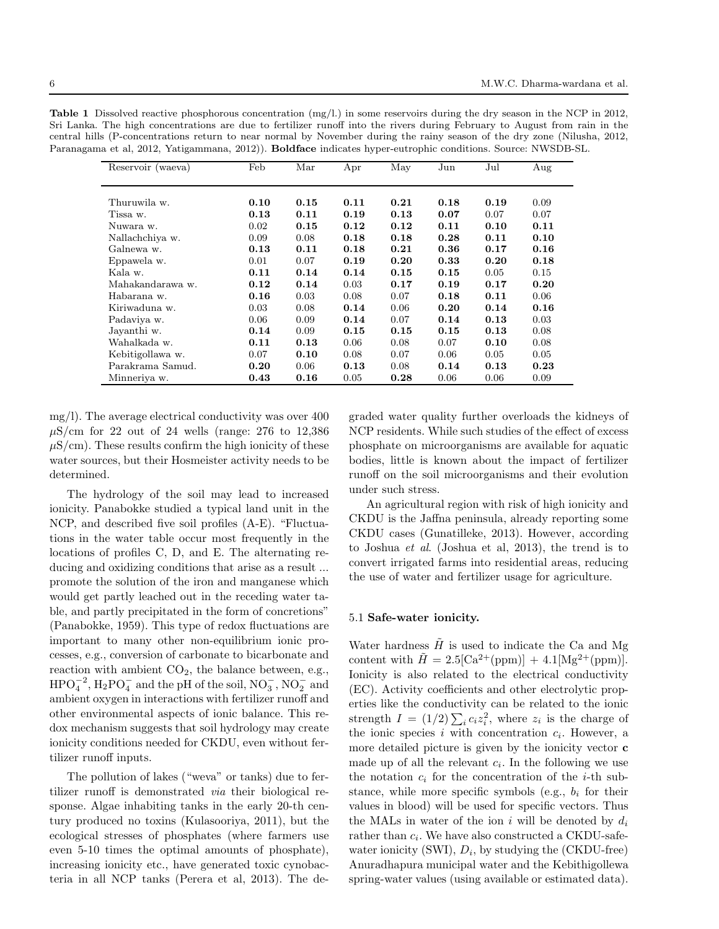Table 1 Dissolved reactive phosphorous concentration (mg/l.) in some reservoirs during the dry season in the NCP in 2012, Sri Lanka. The high concentrations are due to fertilizer runoff into the rivers during February to August from rain in the central hills (P-concentrations return to near normal by November during the rainy season of the dry zone (Nilusha, 2012, Paranagama et al, 2012, Yatigammana, 2012)). Boldface indicates hyper-eutrophic conditions. Source: NWSDB-SL.

| Reservoir (waeva) | Feb  | Mar  | Apr  | May  | Jun  | Jul  | Aug  |
|-------------------|------|------|------|------|------|------|------|
|                   |      |      |      |      |      |      |      |
|                   |      |      |      |      |      |      |      |
| Thuruwila w.      | 0.10 | 0.15 | 0.11 | 0.21 | 0.18 | 0.19 | 0.09 |
| Tissa w.          | 0.13 | 0.11 | 0.19 | 0.13 | 0.07 | 0.07 | 0.07 |
| Nuwara w.         | 0.02 | 0.15 | 0.12 | 0.12 | 0.11 | 0.10 | 0.11 |
| Nallachchiya w.   | 0.09 | 0.08 | 0.18 | 0.18 | 0.28 | 0.11 | 0.10 |
| Galnewa w.        | 0.13 | 0.11 | 0.18 | 0.21 | 0.36 | 0.17 | 0.16 |
| Eppawela w.       | 0.01 | 0.07 | 0.19 | 0.20 | 0.33 | 0.20 | 0.18 |
| Kala w.           | 0.11 | 0.14 | 0.14 | 0.15 | 0.15 | 0.05 | 0.15 |
| Mahakandarawa w.  | 0.12 | 0.14 | 0.03 | 0.17 | 0.19 | 0.17 | 0.20 |
| Habarana w.       | 0.16 | 0.03 | 0.08 | 0.07 | 0.18 | 0.11 | 0.06 |
| Kiriwaduna w.     | 0.03 | 0.08 | 0.14 | 0.06 | 0.20 | 0.14 | 0.16 |
| Padaviya w.       | 0.06 | 0.09 | 0.14 | 0.07 | 0.14 | 0.13 | 0.03 |
| Jayanthi w.       | 0.14 | 0.09 | 0.15 | 0.15 | 0.15 | 0.13 | 0.08 |
| Wahalkada w.      | 0.11 | 0.13 | 0.06 | 0.08 | 0.07 | 0.10 | 0.08 |
| Kebitigollawa w.  | 0.07 | 0.10 | 0.08 | 0.07 | 0.06 | 0.05 | 0.05 |
| Parakrama Samud.  | 0.20 | 0.06 | 0.13 | 0.08 | 0.14 | 0.13 | 0.23 |
| Minneriya w.      | 0.43 | 0.16 | 0.05 | 0.28 | 0.06 | 0.06 | 0.09 |

mg/l). The average electrical conductivity was over 400  $\mu$ S/cm for 22 out of 24 wells (range: 276 to 12,386  $\mu$ S/cm). These results confirm the high ionicity of these water sources, but their Hosmeister activity needs to be determined.

The hydrology of the soil may lead to increased ionicity. Panabokke studied a typical land unit in the NCP, and described five soil profiles (A-E). "Fluctuations in the water table occur most frequently in the locations of profiles C, D, and E. The alternating reducing and oxidizing conditions that arise as a result ... promote the solution of the iron and manganese which would get partly leached out in the receding water table, and partly precipitated in the form of concretions" (Panabokke, 1959). This type of redox fluctuations are important to many other non-equilibrium ionic processes, e.g., conversion of carbonate to bicarbonate and reaction with ambient  $CO<sub>2</sub>$ , the balance between, e.g.,  $\text{HPO}_4^{-2}$ ,  $\text{H}_2\text{PO}_4^-$  and the pH of the soil,  $\text{NO}_3^-$ ,  $\text{NO}_2^-$  and ambient oxygen in interactions with fertilizer runoff and other environmental aspects of ionic balance. This redox mechanism suggests that soil hydrology may create ionicity conditions needed for CKDU, even without fertilizer runoff inputs.

The pollution of lakes ("weva" or tanks) due to fertilizer runoff is demonstrated via their biological response. Algae inhabiting tanks in the early 20-th century produced no toxins (Kulasooriya, 2011), but the ecological stresses of phosphates (where farmers use even 5-10 times the optimal amounts of phosphate), increasing ionicity etc., have generated toxic cynobacteria in all NCP tanks (Perera et al, 2013). The de-

graded water quality further overloads the kidneys of NCP residents. While such studies of the effect of excess phosphate on microorganisms are available for aquatic bodies, little is known about the impact of fertilizer runoff on the soil microorganisms and their evolution under such stress.

An agricultural region with risk of high ionicity and CKDU is the Jaffna peninsula, already reporting some CKDU cases (Gunatilleke, 2013). However, according to Joshua et al. (Joshua et al, 2013), the trend is to convert irrigated farms into residential areas, reducing the use of water and fertilizer usage for agriculture.

# 5.1 Safe-water ionicity.

Water hardness  $\tilde{H}$  is used to indicate the Ca and Mg content with  $\tilde{H} = 2.5[\text{Ca}^{2+}(\text{ppm})] + 4.1[\text{Mg}^{2+}(\text{ppm})]$ . Ionicity is also related to the electrical conductivity (EC). Activity coefficients and other electrolytic properties like the conductivity can be related to the ionic strength  $I = (1/2) \sum_i c_i z_i^2$ , where  $z_i$  is the charge of the ionic species i with concentration  $c_i$ . However, a more detailed picture is given by the ionicity vector c made up of all the relevant  $c_i$ . In the following we use the notation  $c_i$  for the concentration of the *i*-th substance, while more specific symbols (e.g.,  $b_i$  for their values in blood) will be used for specific vectors. Thus the MALs in water of the ion i will be denoted by  $d_i$ rather than  $c_i$ . We have also constructed a CKDU-safewater ionicity (SWI),  $D_i$ , by studying the (CKDU-free) Anuradhapura municipal water and the Kebithigollewa spring-water values (using available or estimated data).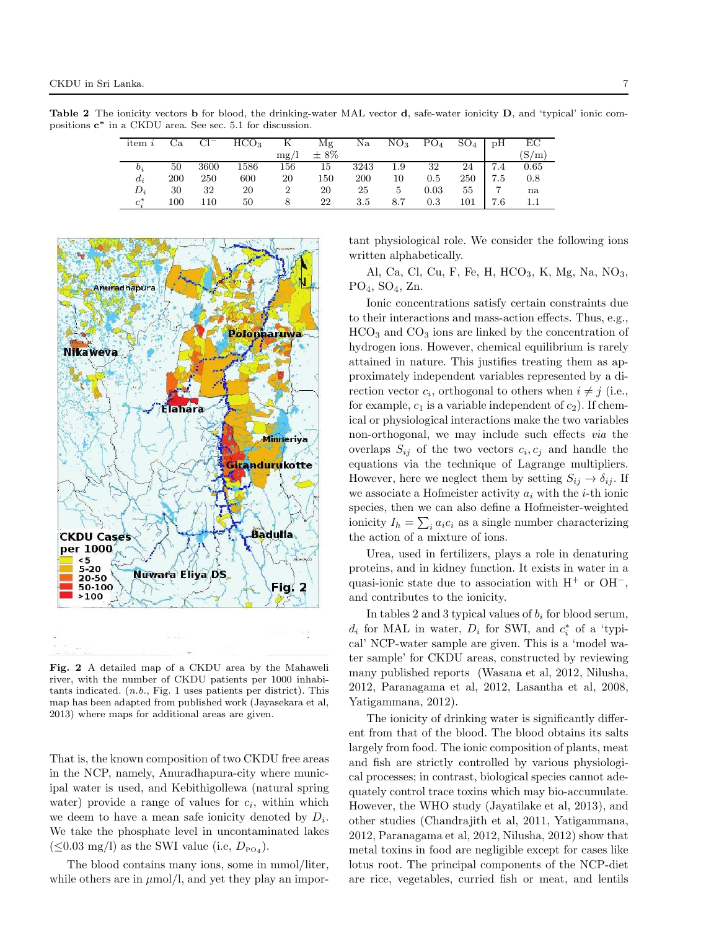Table 2 The ionicity vectors b for blood, the drinking-water MAL vector d, safe-water ionicity D, and 'typical' ionic compositions  $c^*$  in a CKDU area. See sec. 5.1 for discussion.

| item $i$ | Сa  | $Cl^-$ | HCO <sub>3</sub> | К              | Mg        | Na   | NO <sub>3</sub> | PO <sub>4</sub> | $SO_4$ | pH  | EC    |
|----------|-----|--------|------------------|----------------|-----------|------|-----------------|-----------------|--------|-----|-------|
|          |     |        |                  | mg/l           | $\pm 8\%$ |      |                 |                 |        |     | (S/m) |
| $b_i$    | 50  | 3600   | 1586             | 156            | 15        | 3243 | 1.9             | 32              | 24     | 7.4 | 0.65  |
| $d_i$    | 200 | 250    | 600              | 20             | 150       | 200  | 10              | $0.5\,$         | 250    | 7.5 | 0.8   |
| $D_i$    | 30  | 32     | 20               | $\overline{2}$ | 20        | 25   | 5               | 0.03            | 55     | 7   | na    |
| $c^*$    | 100 | 110    | 50               |                | 22        | 3.5  | 8.7             | 0.3             | 101    | 7.6 |       |



Fig. 2 A detailed map of a CKDU area by the Mahaweli river, with the number of CKDU patients per 1000 inhabitants indicated. (n.b., Fig. 1 uses patients per district). This map has been adapted from published work (Jayasekara et al, 2013) where maps for additional areas are given.

That is, the known composition of two CKDU free areas in the NCP, namely, Anuradhapura-city where municipal water is used, and Kebithigollewa (natural spring water) provide a range of values for  $c_i$ , within which we deem to have a mean safe ionicity denoted by  $D_i$ . We take the phosphate level in uncontaminated lakes  $(\leq 0.03 \text{ mg/l})$  as the SWI value (i.e,  $D_{\text{PO}_4}$ ).

The blood contains many ions, some in mmol/liter, while others are in  $\mu$ mol/l, and yet they play an important physiological role. We consider the following ions written alphabetically.

Al, Ca, Cl, Cu, F, Fe, H,  $HCO<sub>3</sub>$ , K, Mg, Na, NO<sub>3</sub>,  $PO<sub>4</sub>, SO<sub>4</sub>, Zn.$ 

Ionic concentrations satisfy certain constraints due to their interactions and mass-action effects. Thus, e.g.,  $HCO<sub>3</sub>$  and  $CO<sub>3</sub>$  ions are linked by the concentration of hydrogen ions. However, chemical equilibrium is rarely attained in nature. This justifies treating them as approximately independent variables represented by a direction vector  $c_i$ , orthogonal to others when  $i \neq j$  (i.e., for example,  $c_1$  is a variable independent of  $c_2$ ). If chemical or physiological interactions make the two variables non-orthogonal, we may include such effects via the overlaps  $S_{ij}$  of the two vectors  $c_i, c_j$  and handle the equations via the technique of Lagrange multipliers. However, here we neglect them by setting  $S_{ij} \to \delta_{ij}$ . If we associate a Hofmeister activity  $a_i$  with the *i*-th ionic species, then we can also define a Hofmeister-weighted ionicity  $I_h = \sum_i a_i c_i$  as a single number characterizing the action of a mixture of ions.

Urea, used in fertilizers, plays a role in denaturing proteins, and in kidney function. It exists in water in a quasi-ionic state due to association with  $H^+$  or  $OH^-$ , and contributes to the ionicity.

In tables 2 and 3 typical values of  $b_i$  for blood serum,  $d_i$  for MAL in water,  $D_i$  for SWI, and  $c_i^*$  of a 'typical' NCP-water sample are given. This is a 'model water sample' for CKDU areas, constructed by reviewing many published reports (Wasana et al, 2012, Nilusha, 2012, Paranagama et al, 2012, Lasantha et al, 2008, Yatigammana, 2012).

The ionicity of drinking water is significantly different from that of the blood. The blood obtains its salts largely from food. The ionic composition of plants, meat and fish are strictly controlled by various physiological processes; in contrast, biological species cannot adequately control trace toxins which may bio-accumulate. However, the WHO study (Jayatilake et al, 2013), and other studies (Chandrajith et al, 2011, Yatigammana, 2012, Paranagama et al, 2012, Nilusha, 2012) show that metal toxins in food are negligible except for cases like lotus root. The principal components of the NCP-diet are rice, vegetables, curried fish or meat, and lentils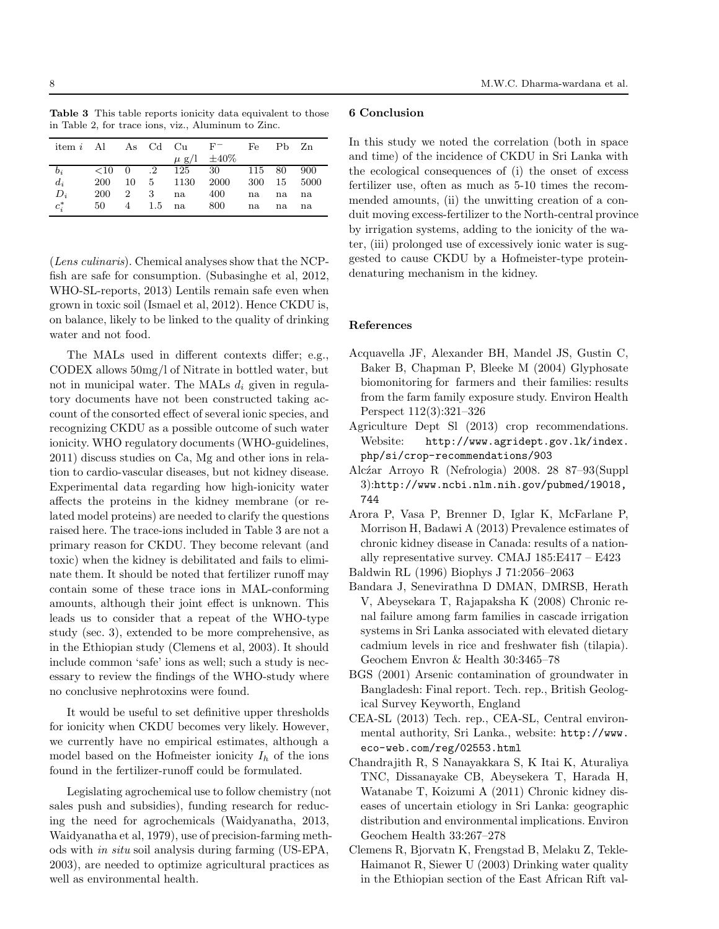| <b>Table 3</b> This table reports ionicity data equivalent to those |  |  |  |
|---------------------------------------------------------------------|--|--|--|
| in Table 2, for trace ions, viz., Aluminum to Zinc.                 |  |  |  |

|         |            |                           |   |              | item <i>i</i> Al As Cd Cu $F^-$ Fe Pb Zn                            |    |    |     |
|---------|------------|---------------------------|---|--------------|---------------------------------------------------------------------|----|----|-----|
|         |            |                           |   |              | $\mu$ g/l $\pm 40\%$                                                |    |    |     |
| $b_i$   |            |                           |   |              | $\langle 10 \quad 0 \quad .2 \quad 125 \quad 30 \quad 115 \quad 80$ |    |    | 900 |
| $d_i$   | <b>200</b> |                           |   |              | 10 5 1130 2000 300 15 5000                                          |    |    |     |
| $D_i$   | 200        | $\overline{\phantom{a}2}$ | 3 | na 400       |                                                                     | na | na | na  |
| $c_i^*$ | 50 —       |                           |   | 4 1.5 na 800 |                                                                     | na | na | na  |

(Lens culinaris). Chemical analyses show that the NCPfish are safe for consumption. (Subasinghe et al, 2012, WHO-SL-reports, 2013) Lentils remain safe even when grown in toxic soil (Ismael et al, 2012). Hence CKDU is, on balance, likely to be linked to the quality of drinking water and not food.

The MALs used in different contexts differ; e.g., CODEX allows 50mg/l of Nitrate in bottled water, but not in municipal water. The MALs  $d_i$  given in regulatory documents have not been constructed taking account of the consorted effect of several ionic species, and recognizing CKDU as a possible outcome of such water ionicity. WHO regulatory documents (WHO-guidelines, 2011) discuss studies on Ca, Mg and other ions in relation to cardio-vascular diseases, but not kidney disease. Experimental data regarding how high-ionicity water affects the proteins in the kidney membrane (or related model proteins) are needed to clarify the questions raised here. The trace-ions included in Table 3 are not a primary reason for CKDU. They become relevant (and toxic) when the kidney is debilitated and fails to eliminate them. It should be noted that fertilizer runoff may contain some of these trace ions in MAL-conforming amounts, although their joint effect is unknown. This leads us to consider that a repeat of the WHO-type study (sec. 3), extended to be more comprehensive, as in the Ethiopian study (Clemens et al, 2003). It should include common 'safe' ions as well; such a study is necessary to review the findings of the WHO-study where no conclusive nephrotoxins were found.

It would be useful to set definitive upper thresholds for ionicity when CKDU becomes very likely. However, we currently have no empirical estimates, although a model based on the Hofmeister ionicity  $I_h$  of the ions found in the fertilizer-runoff could be formulated.

Legislating agrochemical use to follow chemistry (not sales push and subsidies), funding research for reducing the need for agrochemicals (Waidyanatha, 2013, Waidyanatha et al, 1979), use of precision-farming methods with in situ soil analysis during farming (US-EPA, 2003), are needed to optimize agricultural practices as well as environmental health.

## 6 Conclusion

In this study we noted the correlation (both in space and time) of the incidence of CKDU in Sri Lanka with the ecological consequences of (i) the onset of excess fertilizer use, often as much as 5-10 times the recommended amounts, (ii) the unwitting creation of a conduit moving excess-fertilizer to the North-central province by irrigation systems, adding to the ionicity of the water, (iii) prolonged use of excessively ionic water is suggested to cause CKDU by a Hofmeister-type proteindenaturing mechanism in the kidney.

## References

- Acquavella JF, Alexander BH, Mandel JS, Gustin C, Baker B, Chapman P, Bleeke M (2004) Glyphosate biomonitoring for farmers and their families: results from the farm family exposure study. Environ Health Perspect 112(3):321–326
- Agriculture Dept Sl (2013) crop recommendations. Website: http://www.agridept.gov.lk/index. php/si/crop-recommendations/903
- Alc´zar Arroyo R (Nefrologia) 2008. 28 87–93(Suppl 3):http://www.ncbi.nlm.nih.gov/pubmed/19018, 744
- Arora P, Vasa P, Brenner D, Iglar K, McFarlane P, Morrison H, Badawi A (2013) Prevalence estimates of chronic kidney disease in Canada: results of a nationally representative survey. CMAJ 185:E417 – E423
- Baldwin RL (1996) Biophys J 71:2056–2063
- Bandara J, Senevirathna D DMAN, DMRSB, Herath V, Abeysekara T, Rajapaksha K (2008) Chronic renal failure among farm families in cascade irrigation systems in Sri Lanka associated with elevated dietary cadmium levels in rice and freshwater fish (tilapia). Geochem Envron & Health 30:3465–78
- BGS (2001) Arsenic contamination of groundwater in Bangladesh: Final report. Tech. rep., British Geological Survey Keyworth, England
- CEA-SL (2013) Tech. rep., CEA-SL, Central environmental authority, Sri Lanka., website: http://www. eco-web.com/reg/02553.html
- Chandrajith R, S Nanayakkara S, K Itai K, Aturaliya TNC, Dissanayake CB, Abeysekera T, Harada H, Watanabe T, Koizumi A (2011) Chronic kidney diseases of uncertain etiology in Sri Lanka: geographic distribution and environmental implications. Environ Geochem Health 33:267–278
- Clemens R, Bjorvatn K, Frengstad B, Melaku Z, Tekle-Haimanot R, Siewer U (2003) Drinking water quality in the Ethiopian section of the East African Rift val-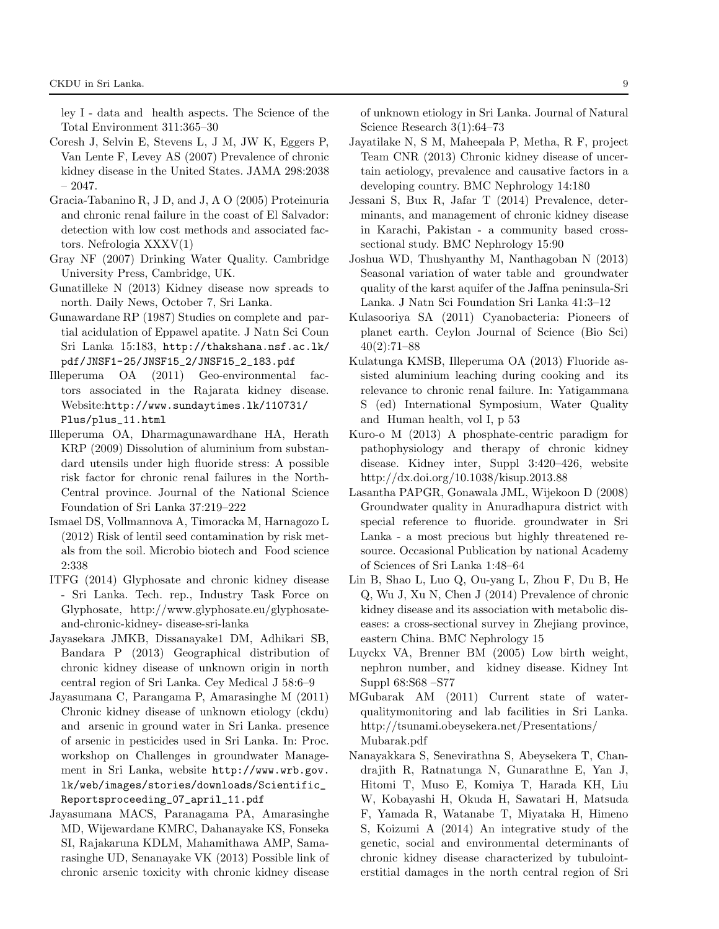ley I - data and health aspects. The Science of the Total Environment 311:365–30

- Coresh J, Selvin E, Stevens L, J M, JW K, Eggers P, Van Lente F, Levey AS (2007) Prevalence of chronic kidney disease in the United States. JAMA 298:2038 – 2047.
- Gracia-Tabanino R, J D, and J, A O (2005) Proteinuria and chronic renal failure in the coast of El Salvador: detection with low cost methods and associated factors. Nefrologia XXXV(1)
- Gray NF (2007) Drinking Water Quality. Cambridge University Press, Cambridge, UK.
- Gunatilleke N (2013) Kidney disease now spreads to north. Daily News, October 7, Sri Lanka.
- Gunawardane RP (1987) Studies on complete and partial acidulation of Eppawel apatite. J Natn Sci Coun Sri Lanka 15:183, http://thakshana.nsf.ac.lk/ pdf/JNSF1-25/JNSF15\_2/JNSF15\_2\_183.pdf
- Illeperuma OA (2011) Geo-environmental factors associated in the Rajarata kidney disease. Website:http://www.sundaytimes.lk/110731/ Plus/plus\_11.html
- Illeperuma OA, Dharmagunawardhane HA, Herath KRP (2009) Dissolution of aluminium from substandard utensils under high fluoride stress: A possible risk factor for chronic renal failures in the North-Central province. Journal of the National Science Foundation of Sri Lanka 37:219–222
- Ismael DS, Vollmannova A, Timoracka M, Harnagozo L (2012) Risk of lentil seed contamination by risk metals from the soil. Microbio biotech and Food science 2:338
- ITFG (2014) Glyphosate and chronic kidney disease - Sri Lanka. Tech. rep., Industry Task Force on Glyphosate, http://www.glyphosate.eu/glyphosateand-chronic-kidney- disease-sri-lanka
- Jayasekara JMKB, Dissanayake1 DM, Adhikari SB, Bandara P (2013) Geographical distribution of chronic kidney disease of unknown origin in north central region of Sri Lanka. Cey Medical J 58:6–9
- Jayasumana C, Parangama P, Amarasinghe M (2011) Chronic kidney disease of unknown etiology (ckdu) and arsenic in ground water in Sri Lanka. presence of arsenic in pesticides used in Sri Lanka. In: Proc. workshop on Challenges in groundwater Management in Sri Lanka, website http://www.wrb.gov. lk/web/images/stories/downloads/Scientific\_ Reportsproceeding\_07\_april\_11.pdf
- Jayasumana MACS, Paranagama PA, Amarasinghe MD, Wijewardane KMRC, Dahanayake KS, Fonseka SI, Rajakaruna KDLM, Mahamithawa AMP, Samarasinghe UD, Senanayake VK (2013) Possible link of chronic arsenic toxicity with chronic kidney disease

of unknown etiology in Sri Lanka. Journal of Natural Science Research 3(1):64–73

- Jayatilake N, S M, Maheepala P, Metha, R F, project Team CNR (2013) Chronic kidney disease of uncertain aetiology, prevalence and causative factors in a developing country. BMC Nephrology 14:180
- Jessani S, Bux R, Jafar T (2014) Prevalence, determinants, and management of chronic kidney disease in Karachi, Pakistan - a community based crosssectional study. BMC Nephrology 15:90
- Joshua WD, Thushyanthy M, Nanthagoban N (2013) Seasonal variation of water table and groundwater quality of the karst aquifer of the Jaffna peninsula-Sri Lanka. J Natn Sci Foundation Sri Lanka 41:3–12
- Kulasooriya SA (2011) Cyanobacteria: Pioneers of planet earth. Ceylon Journal of Science (Bio Sci) 40(2):71–88
- Kulatunga KMSB, Illeperuma OA (2013) Fluoride assisted aluminium leaching during cooking and its relevance to chronic renal failure. In: Yatigammana S (ed) International Symposium, Water Quality and Human health, vol I, p 53
- Kuro-o M (2013) A phosphate-centric paradigm for pathophysiology and therapy of chronic kidney disease. Kidney inter, Suppl 3:420–426, website http://dx.doi.org/10.1038/kisup.2013.88
- Lasantha PAPGR, Gonawala JML, Wijekoon D (2008) Groundwater quality in Anuradhapura district with special reference to fluoride. groundwater in Sri Lanka - a most precious but highly threatened resource. Occasional Publication by national Academy of Sciences of Sri Lanka 1:48–64
- Lin B, Shao L, Luo Q, Ou-yang L, Zhou F, Du B, He Q, Wu J, Xu N, Chen J (2014) Prevalence of chronic kidney disease and its association with metabolic diseases: a cross-sectional survey in Zhejiang province, eastern China. BMC Nephrology 15
- Luyckx VA, Brenner BM (2005) Low birth weight, nephron number, and kidney disease. Kidney Int Suppl 68:S68 –S77
- MGubarak AM (2011) Current state of waterqualitymonitoring and lab facilities in Sri Lanka. http://tsunami.obeysekera.net/Presentations/ Mubarak.pdf
- Nanayakkara S, Senevirathna S, Abeysekera T, Chandrajith R, Ratnatunga N, Gunarathne E, Yan J, Hitomi T, Muso E, Komiya T, Harada KH, Liu W, Kobayashi H, Okuda H, Sawatari H, Matsuda F, Yamada R, Watanabe T, Miyataka H, Himeno S, Koizumi A (2014) An integrative study of the genetic, social and environmental determinants of chronic kidney disease characterized by tubulointerstitial damages in the north central region of Sri